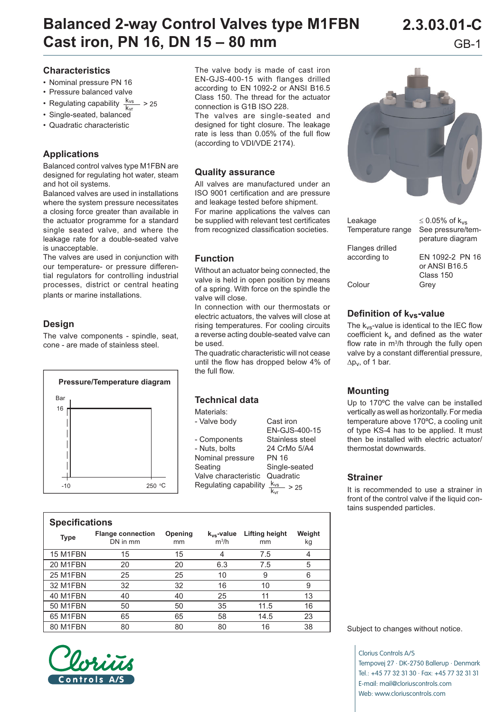# **Balanced 2-way Control Valves type M1FBN 2.3.03.01-C Cast iron, PN 16, DN 15 – 80 mm** GB-1

## **Characteristics**

- Nominal pressure PN 16
- Pressure balanced valve
- Regulating capability  $\frac{K_{VS}}{k}$  $- > 25$
- Single-seated, balanced
- Quadratic characteristic

## **Applications**

Balanced control valves type M1FBN are designed for regulating hot water, steam and hot oil systems.

Balanced valves are used in installations where the system pressure necessitates a closing force greater than available in the actuator programme for a standard single seated valve, and where the leakage rate for a double-seated valve is unacceptable.

The valves are used in conjunction with our temperature- or pressure differential regulators for controlling industrial processes, district or central heating plants or marine installations.

### **Design**

The valve components - spindle, seat, cone - are made of stainless steel.



The valve body is made of cast iron EN-GJS-400-15 with flanges drilled according to EN 1092-2 or ANSI B16.5 Class 150. The thread for the actuator connection is G1B ISO 228.

The valves are single-seated and designed for tight closure. The leakage rate is less than 0.05% of the full flow (according to VDI/VDE 2174).

#### **Quality assurance**

All valves are manufactured under an ISO 9001 certification and are pressure and leakage tested before shipment. For marine applications the valves can be supplied with relevant test certificates from recognized classification societies.

### **Function**

Without an actuator being connected, the valve is held in open position by means of a spring. With force on the spindle the valve will close.

In connection with our thermostats or electric actuators, the valves will close at rising temperatures. For cooling circuits a reverse acting double-seated valve can be used.

The quadratic characteristic will not cease until the flow has dropped below 4% of the full flow.

| Lechnical data        |                         |
|-----------------------|-------------------------|
| Materials:            |                         |
| - Valve body          | Cast iron               |
|                       | FN-GJS-400-15           |
| - Components          | Stainless steel         |
| - Nuts, bolts         | 24 CrMo 5/A4            |
| Nominal pressure      | PN 16                   |
| Seating               | Single-seated           |
| Valve characteristic  | Quadratic               |
| Regulating capability | $\frac{k_{vs}}{s}$ > 25 |
|                       |                         |

| <b>Specifications</b> |                                      |               |                            |                             |              |  |  |  |  |
|-----------------------|--------------------------------------|---------------|----------------------------|-----------------------------|--------------|--|--|--|--|
| <b>Type</b>           | <b>Flange connection</b><br>DN in mm | Opening<br>mm | $k_{vs}$ -value<br>$m^3/h$ | <b>Lifting height</b><br>mm | Weight<br>kg |  |  |  |  |
| 15 M1FBN              | 15                                   | 15            |                            | 7.5                         |              |  |  |  |  |
| 20 M1FBN              | 20                                   | 20            | 6.3                        | 7.5                         | 5            |  |  |  |  |
| 25 M1FBN              | 25                                   | 25            | 10                         | 9                           | 6            |  |  |  |  |
| <b>32 M1FBN</b>       | 32                                   | 32            | 16                         | 10                          | 9            |  |  |  |  |
| 40 M1FBN              | 40                                   | 40            | 25                         | 11                          | 13           |  |  |  |  |
| <b>50 M1FBN</b>       | 50                                   | 50            | 35                         | 11.5                        | 16           |  |  |  |  |
| 65 M1FBN              | 65                                   | 65            | 58                         | 14.5                        | 23           |  |  |  |  |
| 80 M1FBN              | 80                                   | 80            | 80                         | 16                          | 38           |  |  |  |  |



**Technical data**



| Leakage<br>Temperature range | $\leq$ 0.05% of k <sub>vs</sub><br>See pressure/tem- |  |  |
|------------------------------|------------------------------------------------------|--|--|
| Flanges drilled              | perature diagram                                     |  |  |
| according to                 | EN 1092-2 PN 16                                      |  |  |
|                              | or ANSI B16.5                                        |  |  |
|                              | Class 150                                            |  |  |
| Colour                       | Grev                                                 |  |  |

**Definition of kvs-value**

The  $k_{vs}$ -value is identical to the IEC flow coefficient  $k_v$  and defined as the water flow rate in m<sup>3</sup>/h through the fully open valve by a constant differential pressure, ∆pv, of 1 bar.

#### **Mounting**

Up to 170ºC the valve can be installed vertically as well as horizontally. For media temperature above 170ºC, a cooling unit of type KS-4 has to be applied. It must then be installed with electric actuator/ thermostat downwards.

#### **Strainer**

It is recommended to use a strainer in front of the control valve if the liquid contains suspended particles.

Subject to changes without notice.

Clorius Controls A/S Tempovej 27 · DK-2750 Ballerup · Denmark Tel.: +45 77 32 31 30 · Fax: +45 77 32 31 31 E-mail: mail@cloriuscontrols.com Web: www.cloriuscontrols.com